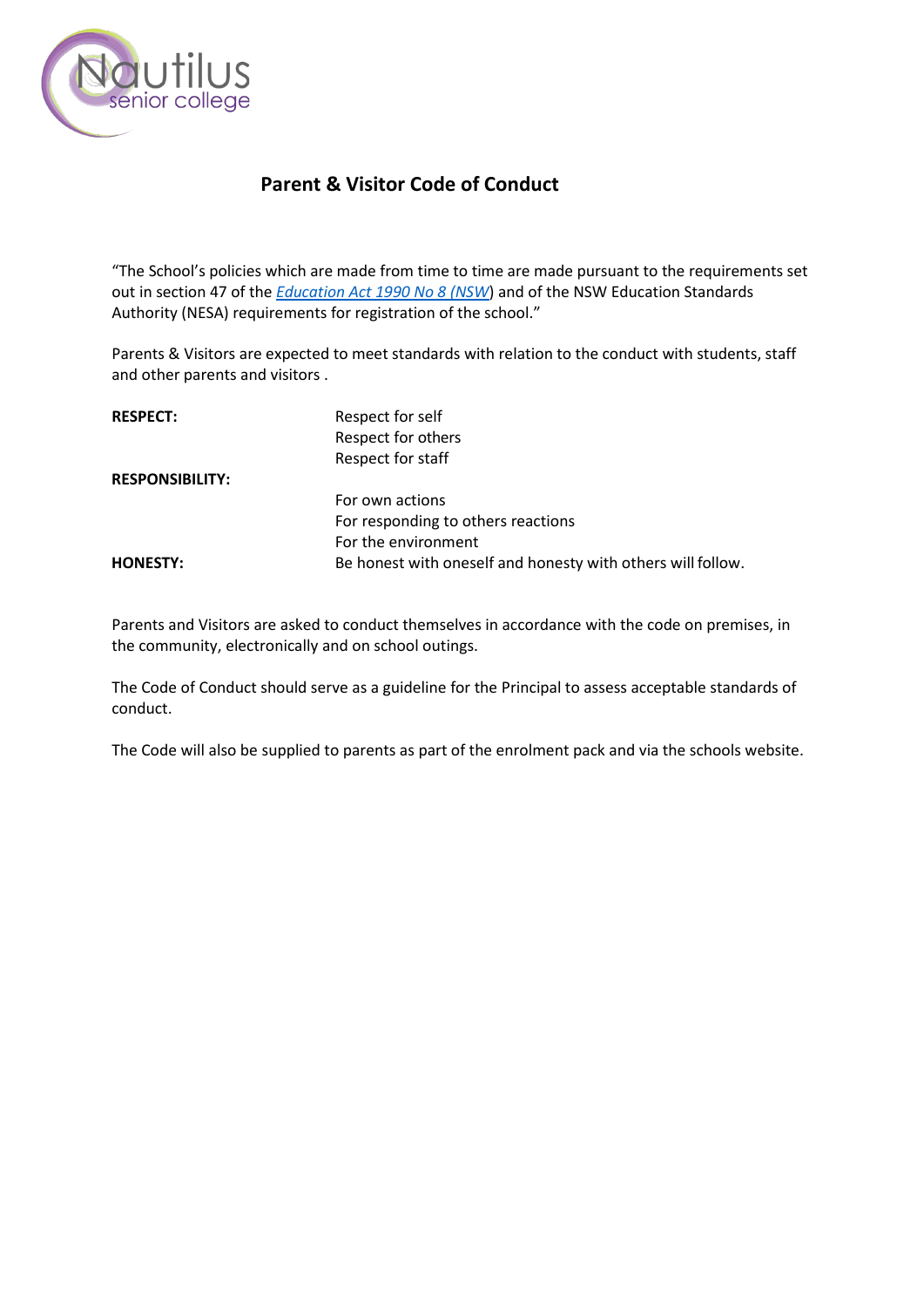

# **Parent & Visitor Code of Conduct**

"The School's policies which are made from time to time are made pursuant to the requirements set out in section 47 of the *[Education Act 1990 No 8 \(NSW](http://www.legislation.nsw.gov.au/)*) and of the NSW Education Standards Authority (NESA) requirements for registration of the school."

Parents & Visitors are expected to meet standards with relation to the conduct with students, staff and other parents and visitors .

| <b>RESPECT:</b>        | Respect for self                                            |
|------------------------|-------------------------------------------------------------|
|                        | Respect for others                                          |
|                        | Respect for staff                                           |
| <b>RESPONSIBILITY:</b> |                                                             |
|                        | For own actions                                             |
|                        | For responding to others reactions                          |
|                        | For the environment                                         |
| <b>HONESTY:</b>        | Be honest with oneself and honesty with others will follow. |

Parents and Visitors are asked to conduct themselves in accordance with the code on premises, in the community, electronically and on school outings.

The Code of Conduct should serve as a guideline for the Principal to assess acceptable standards of conduct.

The Code will also be supplied to parents as part of the enrolment pack and via the schools website.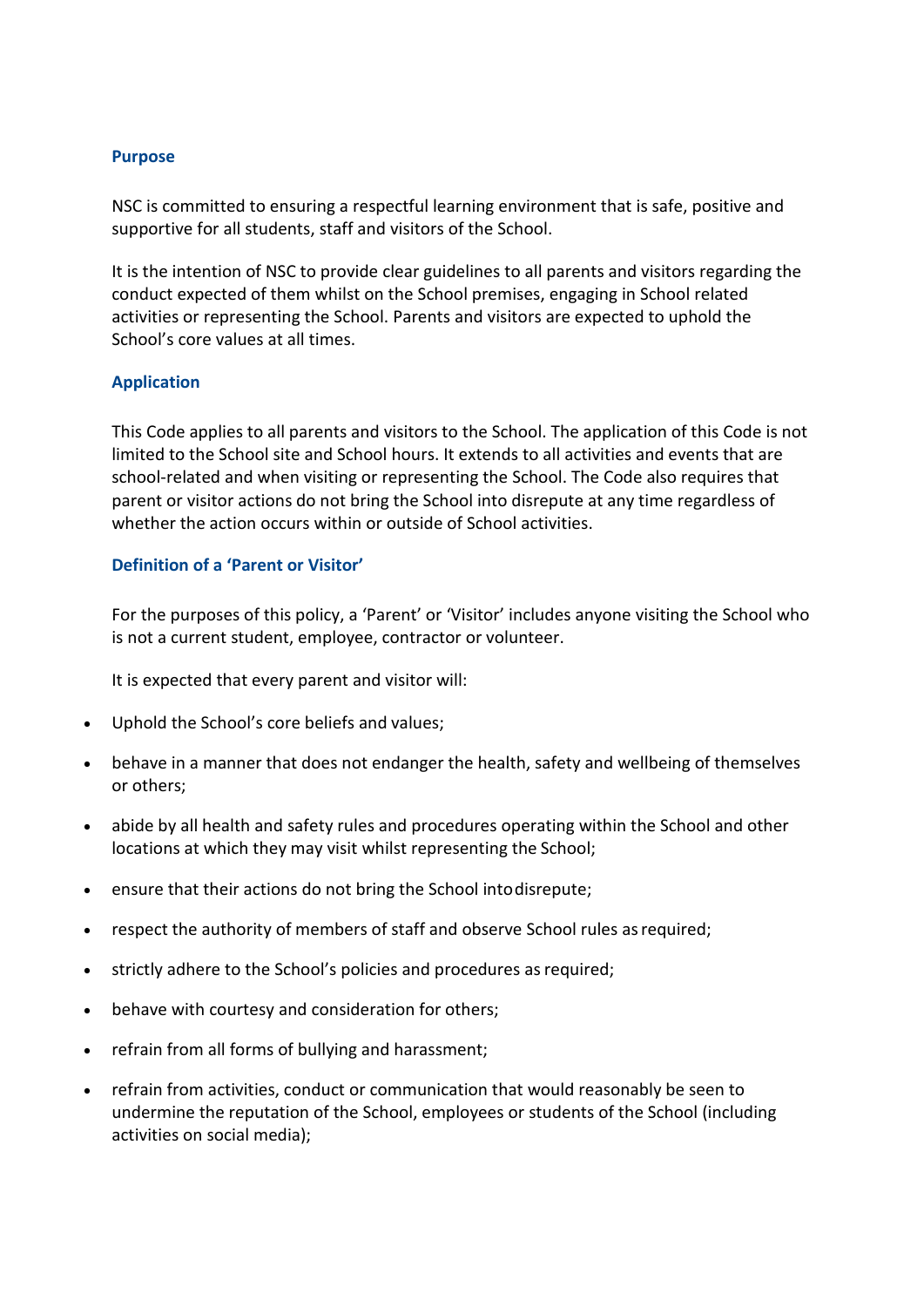#### **Purpose**

NSC is committed to ensuring a respectful learning environment that is safe, positive and supportive for all students, staff and visitors of the School.

It is the intention of NSC to provide clear guidelines to all parents and visitors regarding the conduct expected of them whilst on the School premises, engaging in School related activities or representing the School. Parents and visitors are expected to uphold the School's core values at all times.

## **Application**

This Code applies to all parents and visitors to the School. The application of this Code is not limited to the School site and School hours. It extends to all activities and events that are school-related and when visiting or representing the School. The Code also requires that parent or visitor actions do not bring the School into disrepute at any time regardless of whether the action occurs within or outside of School activities.

# **Definition of a 'Parent or Visitor'**

For the purposes of this policy, a 'Parent' or 'Visitor' includes anyone visiting the School who is not a current student, employee, contractor or volunteer.

It is expected that every parent and visitor will:

- Uphold the School's core beliefs and values;
- behave in a manner that does not endanger the health, safety and wellbeing of themselves or others;
- abide by all health and safety rules and procedures operating within the School and other locations at which they may visit whilst representing the School;
- ensure that their actions do not bring the School intodisrepute;
- respect the authority of members of staff and observe School rules asrequired;
- strictly adhere to the School's policies and procedures as required;
- behave with courtesy and consideration for others;
- refrain from all forms of bullying and harassment;
- refrain from activities, conduct or communication that would reasonably be seen to undermine the reputation of the School, employees or students of the School (including activities on social media);